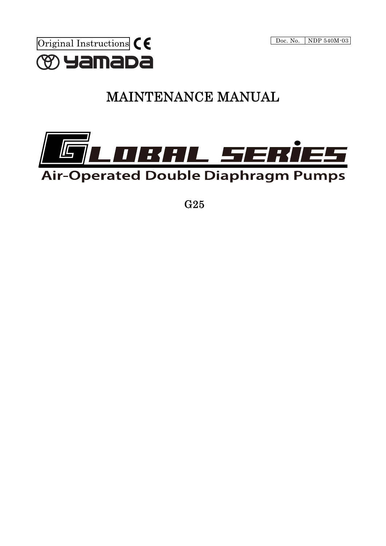

# MAINTENANCE MANUAL



G25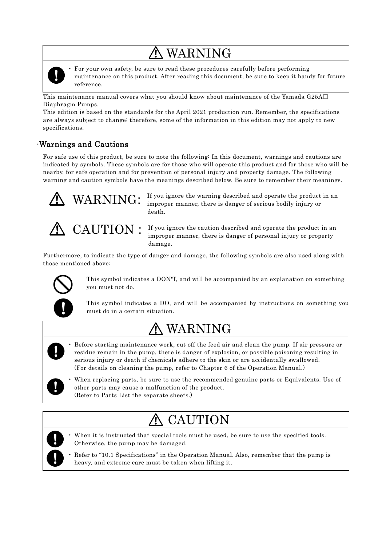# WARNING



• For your own safety, be sure to read these procedures carefully before performing maintenance on this product. After reading this document, be sure to keep it handy for future reference.

This maintenance manual covers what you should know about maintenance of the Yamada G25A $\Box$ Diaphragm Pumps.

This edition is based on the standards for the April 2021 production run. Remember, the specifications are always subject to change; therefore, some of the information in this edition may not apply to new specifications.

## ·Warnings and Cautions

For safe use of this product, be sure to note the following: In this document, warnings and cautions are indicated by symbols. These symbols are for those who will operate this product and for those who will be nearby, for safe operation and for prevention of personal injury and property damage. The following warning and caution symbols have the meanings described below. Be sure to remember their meanings.



 If you ignore the warning described and operate the product in an improper manner, there is danger of serious bodily injury or death.



CAUTION :

 If you ignore the caution described and operate the product in an improper manner, there is danger of personal injury or property damage.

Furthermore, to indicate the type of danger and damage, the following symbols are also used along with those mentioned above:



This symbol indicates a DON'T, and will be accompanied by an explanation on something you must not do.

This symbol indicates a DO, and will be accompanied by instructions on something you must do in a certain situation.

# WARNING

- Before starting maintenance work, cut off the feed air and clean the pump. If air pressure or residue remain in the pump, there is danger of explosion, or possible poisoning resulting in serious injury or death if chemicals adhere to the skin or are accidentally swallowed. (For details on cleaning the pump, refer to Chapter 6 of the Operation Manual.)
- 

• When replacing parts, be sure to use the recommended genuine parts or Equivalents. Use of other parts may cause a malfunction of the product. (Refer to Parts List the separate sheets.)

### CAUTION 介



When it is instructed that special tools must be used, be sure to use the specified tools. Otherwise, the pump may be damaged.

• Refer to "10.1 Specifications" in the Operation Manual. Also, remember that the pump is heavy, and extreme care must be taken when lifting it.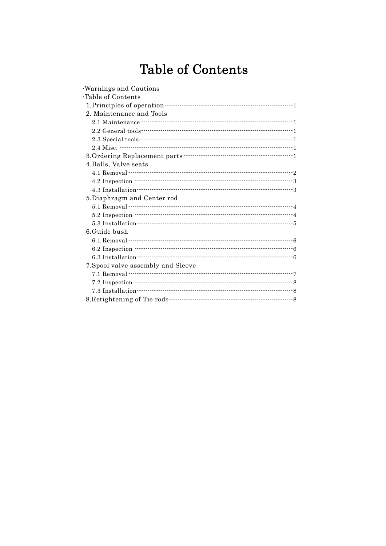# **Table of Contents**

| Warnings and Cautions                      |  |
|--------------------------------------------|--|
| Table of Contents                          |  |
|                                            |  |
| 2. Maintenance and Tools                   |  |
|                                            |  |
|                                            |  |
|                                            |  |
|                                            |  |
|                                            |  |
| 4. Balls, Valve seats                      |  |
|                                            |  |
|                                            |  |
|                                            |  |
| 5. Diaphragm and Center rod                |  |
| 5.1 Removal ……………………………………………………………………………4 |  |
|                                            |  |
|                                            |  |
| 6. Guide bush                              |  |
|                                            |  |
|                                            |  |
|                                            |  |
| 7. Spool valve assembly and Sleeve         |  |
|                                            |  |
|                                            |  |
|                                            |  |
|                                            |  |
|                                            |  |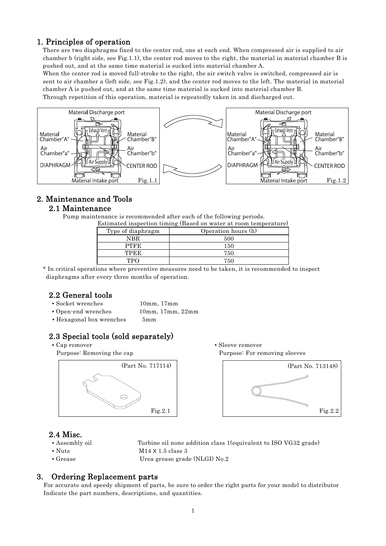## 1. Principles of operation

There are two diaphragms fixed to the center rod, one at each end. When compressed air is supplied to air chamber b (right side, see Fig.1.1), the center rod moves to the right, the material in material chamber B is pushed out, and at the same time material is sucked into material chamber A.

When the center rod is moved full-stroke to the right, the air switch valve is switched, compressed air is sent to air chamber a (left side, see Fig.1.2), and the center rod moves to the left. The material in material chamber A is pushed out, and at the same time material is sucked into material chamber B. Through repetition of this operation, material is repeatedly taken in and discharged out.



## 2. Maintenance and Tools

## 2.1 Maintenance

Pump maintenance is recommended after each of the following periods.

| Estimated inspection timing (Based on water at room temperature) |                     |  |
|------------------------------------------------------------------|---------------------|--|
| Type of diaphragm                                                | Operation hours (h) |  |
| NBR                                                              | 500                 |  |
| <b>PTFE</b>                                                      | 150                 |  |
| <b>TPEE</b>                                                      | 750                 |  |
| ጥPO                                                              | 750                 |  |

\* In critical operations where preventive measures need to be taken, it is recommended to inspect diaphragms after every three months of operation.

## 2.2 General tools

- Socket wrenches 10mm, 17mm
	-
- Open-end wrenches 10mm, 17mm, 22mm
- Hexagonal box wrenches 5mm

## 2.3 Special tools (sold separately)



• Cap remover Sleeve remover Purpose: Removing the cap example of the Purpose: For removing sleeves



### 2.4 Misc.

- 
- 
- 

▪ Assembly oil Turbine oil none addition class 1(equivalent to ISO VG32 grade)

- $\blacksquare$  Nuts  $\blacksquare$  M14 X 1.5 class 3
- Grease Urea grease grade (NLGI) No.2

## 3. Ordering Replacement parts

For accurate and speedy shipment of parts, be sure to order the right parts for your model to distributor Indicate the part numbers, descriptions, and quantities.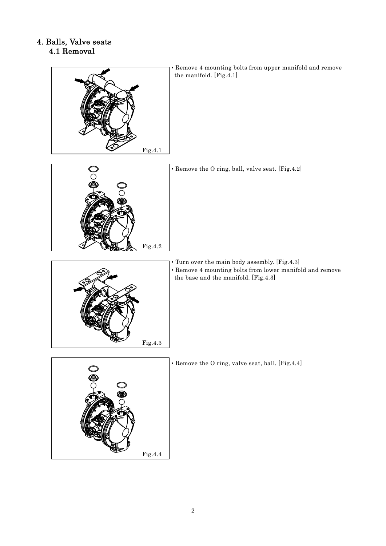## 4. Balls, Valve seats 4.1 Removal



▪ Remove 4 mounting bolts from upper manifold and remove the manifold. [Fig.4.1]

▪ Remove the O ring, ball, valve seat. [Fig.4.2]



Fig.4.2

▪ Turn over the main body assembly. [Fig.4.3] ▪ Remove 4 mounting bolts from lower manifold and remove the base and the manifold. [Fig.4.3]



▪ Remove the O ring, valve seat, ball. [Fig.4.4]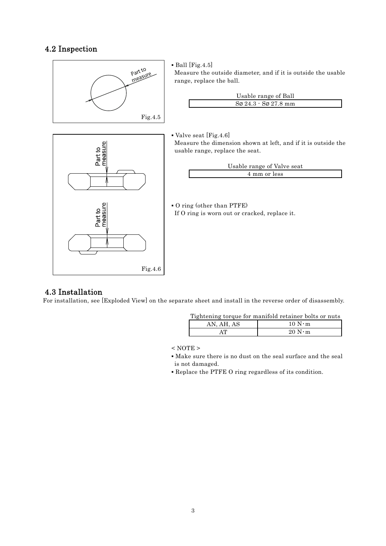## 4.2 Inspection



## 4.3 Installation

For installation, see [Exploded View] on the separate sheet and install in the reverse order of disassembly.

|            | Tightening torque for manifold retainer bolts or nuts |
|------------|-------------------------------------------------------|
| AN. AH. AS | 10 N·m                                                |
| ΔT         | $20 N \cdot m$                                        |

 $<$  NOTE  $>$ 

▪ Make sure there is no dust on the seal surface and the seal is not damaged.

▪ Replace the PTFE O ring regardless of its condition.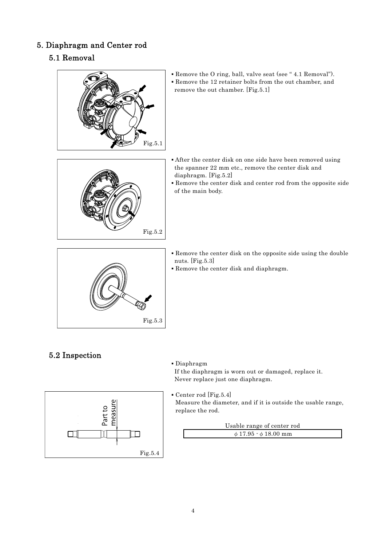## 5. Diaphragm and Center rod

## 5.1 Removal



▪ Remove the O ring, ball, valve seat (see " 4.1 Removal"). ▪ Remove the 12 retainer bolts from the out chamber, and remove the out chamber. [Fig.5.1]

- After the center disk on one side have been removed using the spanner 22 mm etc., remove the center disk and diaphragm. [Fig.5.2]
- Remove the center disk and center rod from the opposite side of the main body.



Fig.5.2

- Remove the center disk on the opposite side using the double nuts. [Fig.5.3]
- Remove the center disk and diaphragm.

## 5.2 Inspection

#### ▪ Diaphragm

If the diaphragm is worn out or damaged, replace it. Never replace just one diaphragm.



▪ Center rod [Fig.5.4] Measure the diameter, and if it is outside the usable range, replace the rod.

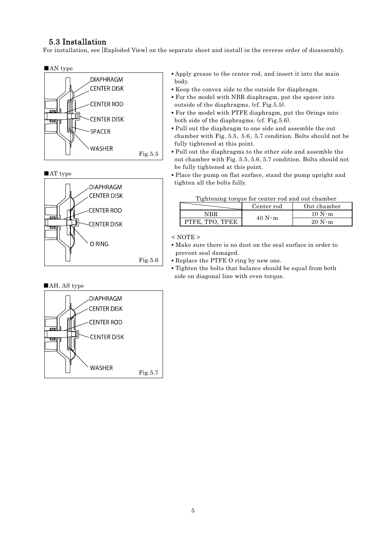## 5.3 Installation

For installation, see [Exploded View] on the separate sheet and install in the reverse order of disassembly.



■AT type



#### ■AH, AS type



- Apply grease to the center rod, and insert it into the main body.
- Keep the convex side to the outside for diaphragm.
- For the model with NBR diaphragm, put the spacer into outside of the diaphragms. (cf. Fig.5.5).
- For the model with PTFE diaphragm, put the Orings into both side of the diaphragms. (cf. Fig.5.6).
- Pull out the diaphragm to one side and assemble the out chamber with Fig. 5.5、5.6、5.7 condition. Bolts should not be fully tightened at this point.
- Pull out the diaphragms to the other side and assemble the out chamber with Fig. 5.5、5.6、5.7 condition. Bolts should not be fully tightened at this point.
- Place the pump on flat surface, stand the pump upright and tighten all the bolts fully.

|                 | <b>I</b> religious torque for center fou and out chamber<br>Out chamber<br>Center rod |                |  |
|-----------------|---------------------------------------------------------------------------------------|----------------|--|
| NRR             | $40 N \cdot m$                                                                        | $10 N \cdot m$ |  |
| PTFE, TPO, TPEE |                                                                                       | $20 N \cdot m$ |  |

## Tightening torque for center rod and out chamber

 $<$  NOTE  $>$ 

- Make sure there is no dust on the seal surface in order to prevent seal damaged.
- Replace the PTFE O ring by new one.
- Tighten the bolts that balance should be equal from both side on diagonal line with even torque.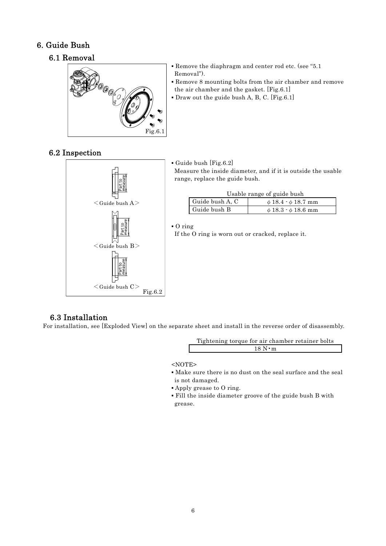## 6. Guide Bush

## 6.1 Removal



- Remove the diaphragm and center rod etc. (see "5.1 Removal").
- Remove 8 mounting bolts from the air chamber and remove the air chamber and the gasket. [Fig.6.1]
- $\blacksquare$  Draw out the guide bush A, B, C. [Fig.6.1]

## 6.2 Inspection



▪ Guide bush [Fig.6.2] Measure the inside diameter, and if it is outside the usable range, replace the guide bush.

Usable range of guide bush

| Guide bush A, C | $\phi$ 18.4 $\cdot$ $\phi$ 18.7 mm |
|-----------------|------------------------------------|
| Guide bush B    | $\phi$ 18.3 $\cdot$ $\phi$ 18.6 mm |

▪ O ring

If the O ring is worn out or cracked, replace it.

## 6.3 Installation

For installation, see [Exploded View] on the separate sheet and install in the reverse order of disassembly.

Tightening torque for air chamber retainer bolts 18 N•m

<NOTE>

- Make sure there is no dust on the seal surface and the seal is not damaged.
- Apply grease to O ring.
- Fill the inside diameter groove of the guide bush B with grease.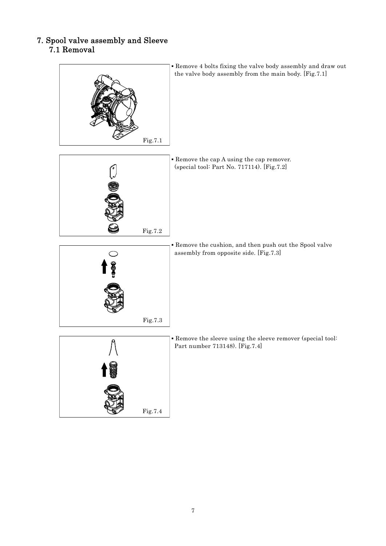## 7. Spool valve assembly and Sleeve 7.1 Removal



▪ Remove 4 bolts fixing the valve body assembly and draw out the valve body assembly from the main body. [Fig.7.1]

▪ Remove the cap A using the cap remover. (special tool: Part No. 717114). [Fig.7.2]

▪ Remove the cushion, and then push out the Spool valve assembly from opposite side. [Fig.7.3]



Fig.7.2



**Remove the sleeve using the sleeve remover (special tool:** Part number 713148). [Fig.7.4]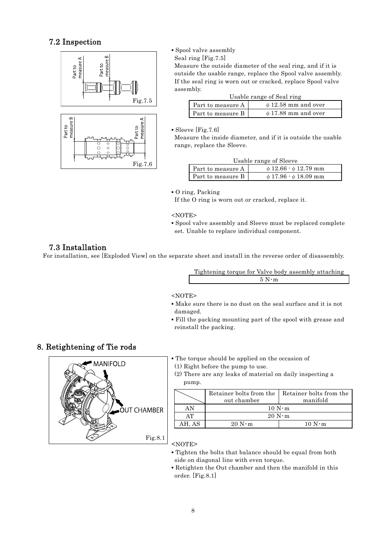## 7.2 Inspection





### ▪ Spool valve assembly

Seal ring [Fig.7.5]

Measure the outside diameter of the seal ring, and if it is outside the usable range, replace the Spool valve assembly. If the seal ring is worn out or cracked, replace Spool valve assembly.

| Usable range of Seal ring |                          |  |
|---------------------------|--------------------------|--|
| Part to measure A         | $\phi$ 12.58 mm and over |  |
| Part to measure B         | $\phi$ 17.88 mm and over |  |

• Sleeve [Fig.7.6]

Measure the inside diameter, and if it is outside the usable range, replace the Sleeve.

| Part to measure A | $\phi$ 12.66 $\cdot$ $\phi$ 12.79 mm |
|-------------------|--------------------------------------|
| Part to measure B | $\phi$ 17.96 $\cdot$ $\phi$ 18.09 mm |

▪ O ring, Packing

If the O ring is worn out or cracked, replace it.

<NOTE>

▪ Spool valve assembly and Sleeve must be replaced complete set. Unable to replace individual component.

## 7.3 Installation

For installation, see [Exploded View] on the separate sheet and install in the reverse order of disassembly.

| Tightening torque for Valve body assembly attaching |  |  |
|-----------------------------------------------------|--|--|
| $5 \text{ N} \cdot \text{m}$                        |  |  |

#### <NOTE>

- Make sure there is no dust on the seal surface and it is not damaged.
- Fill the packing mounting part of the spool with grease and reinstall the packing.

## 8. Retightening of Tie rods



| • The torque should be applied on the occasion of |  |  |  |  |  |
|---------------------------------------------------|--|--|--|--|--|
|---------------------------------------------------|--|--|--|--|--|

(1) Right before the pump to use.

(2) There are any leaks of material on daily inspecting a pump.

|        | Retainer bolts from the<br>out chamber | Retainer bolts from the<br>manifold |  |
|--------|----------------------------------------|-------------------------------------|--|
| ΑN     | $10 N \cdot m$                         |                                     |  |
| AТ     | $20 N \cdot m$                         |                                     |  |
| AH. AS | $20 N \cdot m$                         | $10 N \cdot m$                      |  |

<NOTE>

- Tighten the bolts that balance should be equal from both side on diagonal line with even torque.
- Retighten the Out chamber and then the manifold in this order. [Fig.8.1]